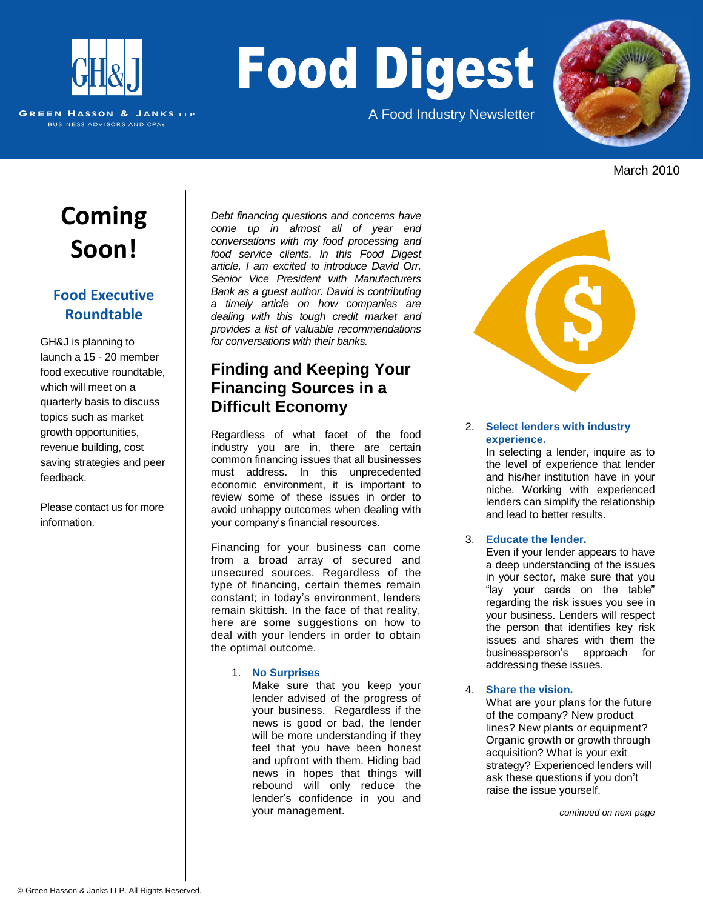

**GREEN HASSON & JANKS LLP BUSINESS ADVISORS AND CPAS** 

Food Digest

A Food Industry Newsletter



March 2010

# **Coming Soon!**

## **Food Executive Roundtable**

GH&J is planning to launch a 15 - 20 member food executive roundtable, which will meet on a quarterly basis to discuss topics such as market growth opportunities, revenue building, cost saving strategies and peer feedback.

Please contact us for more information.

*Debt financing questions and concerns have come up in almost all of year end conversations with my food processing and food service clients. In this Food Digest article, I am excited to introduce David Orr, Senior Vice President with Manufacturers Bank as a guest author. David is contributing a timely article on how companies are dealing with this tough credit market and provides a list of valuable recommendations for conversations with their banks.*

## **Finding and Keeping Your Financing Sources in a Difficult Economy**

Regardless of what facet of the food industry you are in, there are certain common financing issues that all businesses must address. In this unprecedented economic environment, it is important to review some of these issues in order to avoid unhappy outcomes when dealing with your company's financial resources.

Financing for your business can come from a broad array of secured and unsecured sources. Regardless of the type of financing, certain themes remain constant; in today's environment, lenders remain skittish. In the face of that reality, here are some suggestions on how to deal with your lenders in order to obtain the optimal outcome.

#### 1. **No Surprises**

Make sure that you keep your lender advised of the progress of your business. Regardless if the news is good or bad, the lender will be more understanding if they feel that you have been honest and upfront with them. Hiding bad news in hopes that things will rebound will only reduce the lender's confidence in you and your management.



#### 2. **Select lenders with industry experience.**

In selecting a lender, inquire as to the level of experience that lender and his/her institution have in your niche. Working with experienced lenders can simplify the relationship and lead to better results.

### 3. **Educate the lender.**

Even if your lender appears to have a deep understanding of the issues in your sector, make sure that you "lay your cards on the table" regarding the risk issues you see in your business. Lenders will respect the person that identifies key risk issues and shares with them the businessperson's approach for addressing these issues.

4. **Share the vision.**

What are your plans for the future of the company? New product lines? New plants or equipment? Organic growth or growth through acquisition? What is your exit strategy? Experienced lenders will ask these questions if you don't raise the issue yourself.

*continued on next page*